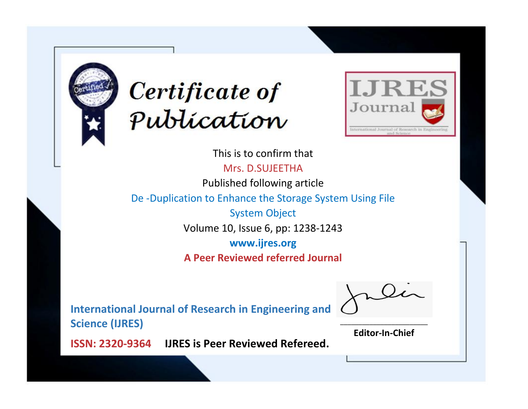



This is to confirm that Mrs. D.SUJEETHA Published following article De -Duplication to Enhance the Storage System Using File System Object Volume 10, Issue 6, pp: 1238-1243 **www.ijres.org A Peer Reviewed referred Journal**

**International Journal of Research in Engineering and Science (IJRES)**

\_\_\_\_\_\_\_\_\_\_\_\_\_\_\_\_\_\_\_\_\_\_\_\_ **Editor-In-Chief**

**Journal.**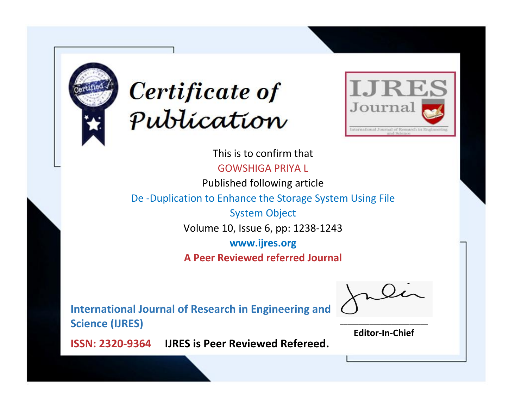



This is to confirm that GOWSHIGA PRIYA L

Published following article

De -Duplication to Enhance the Storage System Using File

System Object Volume 10, Issue 6, pp: 1238-1243

**www.ijres.org**

**A Peer Reviewed referred Journal**

**International Journal of Research in Engineering and Science (IJRES)**

\_\_\_\_\_\_\_\_\_\_\_\_\_\_\_\_\_\_\_\_\_\_\_\_ **Editor-In-Chief**

**Journal.**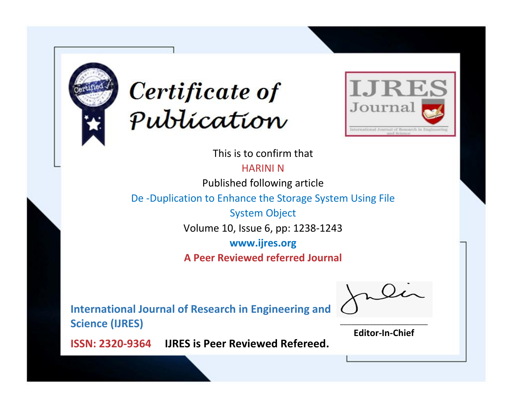



This is to confirm that

HARINI N

Published following article

De -Duplication to Enhance the Storage System Using File

System Object Volume 10, Issue 6, pp: 1238-1243

**www.ijres.org**

**A Peer Reviewed referred Journal**

**International Journal of Research in Engineering and Science (IJRES)**

\_\_\_\_\_\_\_\_\_\_\_\_\_\_\_\_\_\_\_\_\_\_\_\_ **Editor-In-Chief**

**Journal.**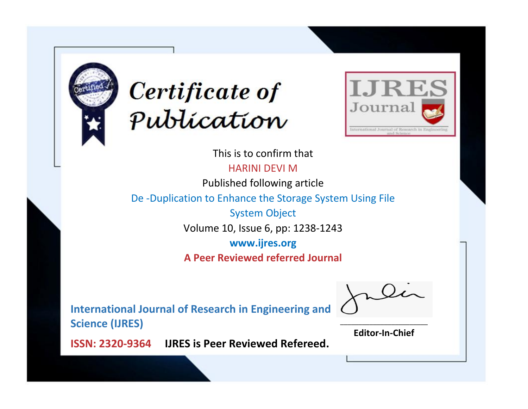



This is to confirm that

HARINI DEVI M

Published following article

De -Duplication to Enhance the Storage System Using File

System Object Volume 10, Issue 6, pp: 1238-1243

**www.ijres.org**

**A Peer Reviewed referred Journal**

**International Journal of Research in Engineering and Science (IJRES)**

\_\_\_\_\_\_\_\_\_\_\_\_\_\_\_\_\_\_\_\_\_\_\_\_ **Editor-In-Chief**

**Journal.**